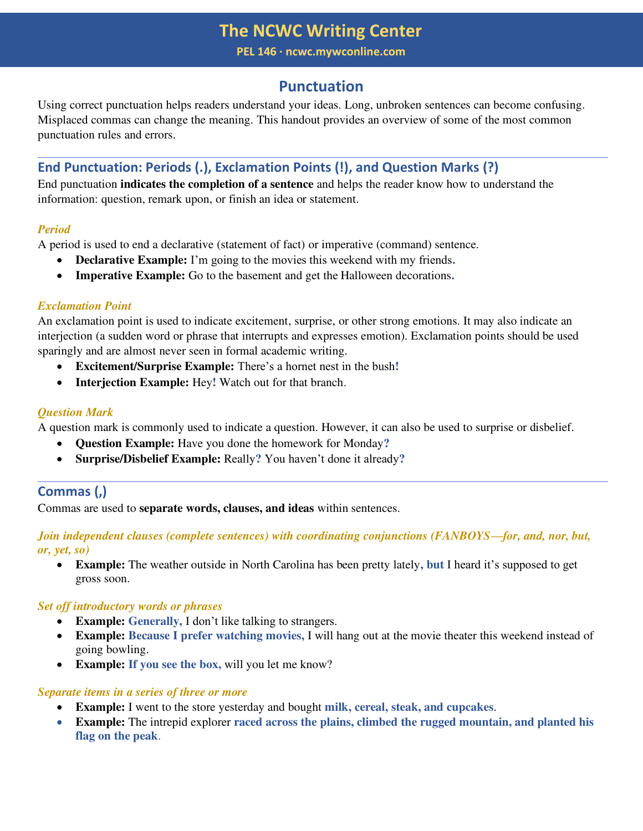**PEL 146 ∙ ncwc.mywconline.com** 

# **Punctuation**

Using correct punctuation helps readers understand your ideas. Long, unbroken sentences can become confusing. Misplaced commas can change the meaning. This handout provides an overview of some of the most common punctuation rules and errors.

# **End Punctuation: Periods (.), Exclamation Points (!), and Question Marks (?)**

End punctuation **indicates the completion of a sentence** and helps the reader know how to understand the information: question, remark upon, or finish an idea or statement.

# *Period*

A period is used to end a declarative (statement of fact) or imperative (command) sentence.

- **Declarative Example:** I'm going to the movies this weekend with my friends**.**
- **Imperative Example:** Go to the basement and get the Halloween decorations**.**

# *Exclamation Point*

An exclamation point is used to indicate excitement, surprise, or other strong emotions. It may also indicate an interjection (a sudden word or phrase that interrupts and expresses emotion). Exclamation points should be used sparingly and are almost never seen in formal academic writing.

- **Excitement/Surprise Example:** There's a hornet nest in the bush**!**
- **Interjection Example:** Hey**!** Watch out for that branch.

# *Question Mark*

A question mark is commonly used to indicate a question. However, it can also be used to surprise or disbelief.

- **Question Example:** Have you done the homework for Monday**?**
- **Surprise/Disbelief Example:** Really**?** You haven't done it already**?**

# **Commas (,)**

Commas are used to **separate words, clauses, and ideas** within sentences.

*Join independent clauses (complete sentences) with coordinating conjunctions (FANBOYS—for, and, nor, but, or, yet, so)* 

• **Example:** The weather outside in North Carolina has been pretty lately**, but** I heard it's supposed to get gross soon.

# *Set off introductory words or phrases*

- **Example: Generally,** I don't like talking to strangers.
- **Example: Because I prefer watching movies,** I will hang out at the movie theater this weekend instead of going bowling.
- **Example: If you see the box,** will you let me know?

### *Separate items in a series of three or more*

- **Example:** I went to the store yesterday and bought **milk, cereal, steak, and cupcakes**.
- **Example:** The intrepid explorer **raced across the plains, climbed the rugged mountain, and planted his flag on the peak**.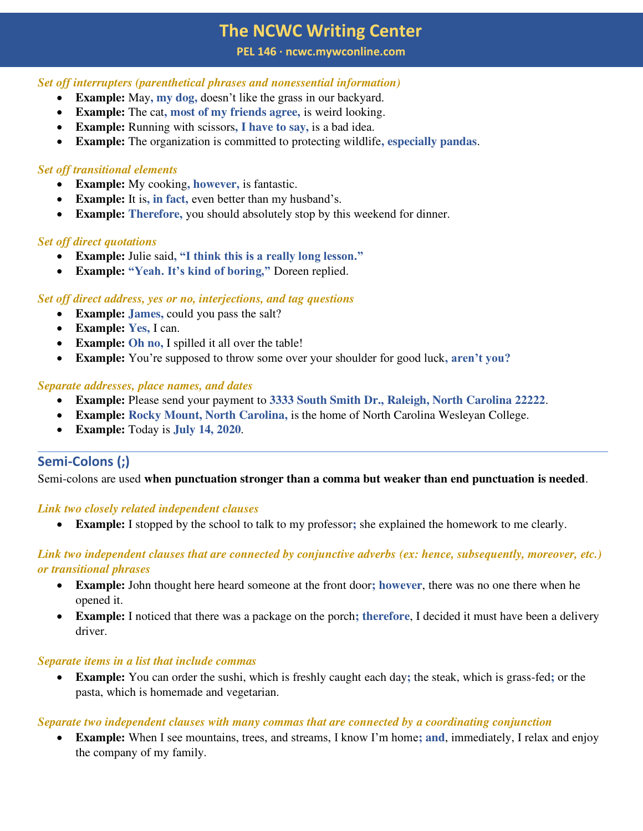#### **PEL 146 ∙ ncwc.mywconline.com**

### *Set off interrupters (parenthetical phrases and nonessential information)*

- **Example:** May, my dog, doesn't like the grass in our backyard.
- **Example:** The cat**, most of my friends agree,** is weird looking.
- **Example:** Running with scissors**, I have to say,** is a bad idea.
- **Example:** The organization is committed to protecting wildlife**, especially pandas**.

## *Set off transitional elements*

- **Example:** My cooking, **however**, is fantastic.
- **Example:** It is**, in fact,** even better than my husband's.
- **Example: Therefore,** you should absolutely stop by this weekend for dinner.

### *Set off direct quotations*

- **Example:** Julie said**, "I think this is a really long lesson."**
- **Example: "Yeah. It's kind of boring,"** Doreen replied.

### *Set off direct address, yes or no, interjections, and tag questions*

- **Example: James,** could you pass the salt?
- **Example: Yes,** I can.
- **Example: Oh no,** I spilled it all over the table!
- **Example:** You're supposed to throw some over your shoulder for good luck**, aren't you?**

### *Separate addresses, place names, and dates*

- **Example:** Please send your payment to **3333 South Smith Dr., Raleigh, North Carolina 22222**.
- **Example: Rocky Mount, North Carolina,** is the home of North Carolina Wesleyan College.
- **Example:** Today is **July 14, 2020**.

# **Semi-Colons (;)**

Semi-colons are used **when punctuation stronger than a comma but weaker than end punctuation is needed**.

### *Link two closely related independent clauses*

• **Example:** I stopped by the school to talk to my professor**;** she explained the homework to me clearly.

## *Link two independent clauses that are connected by conjunctive adverbs (ex: hence, subsequently, moreover, etc.) or transitional phrases*

- **Example:** John thought here heard someone at the front door**; however**, there was no one there when he opened it.
- **Example:** I noticed that there was a package on the porch**; therefore**, I decided it must have been a delivery driver.

### *Separate items in a list that include commas*

• **Example:** You can order the sushi, which is freshly caught each day**;** the steak, which is grass-fed**;** or the pasta, which is homemade and vegetarian.

### *Separate two independent clauses with many commas that are connected by a coordinating conjunction*

• **Example:** When I see mountains, trees, and streams, I know I'm home**; and**, immediately, I relax and enjoy the company of my family.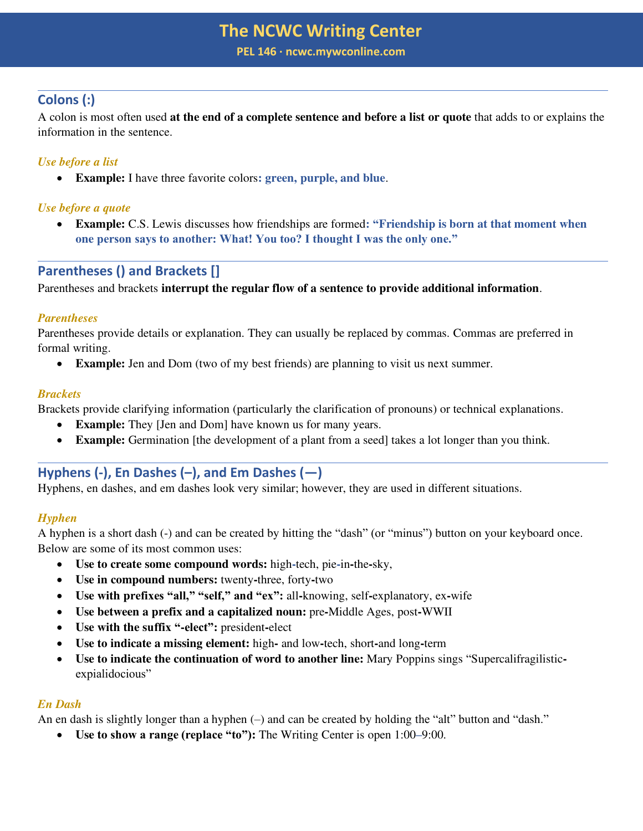**PEL 146 ∙ ncwc.mywconline.com** 

# **Colons (:)**

A colon is most often used **at the end of a complete sentence and before a list or quote** that adds to or explains the information in the sentence.

# *Use before a list*

• **Example:** I have three favorite colors**: green, purple, and blue**.

## *Use before a quote*

• **Example:** C.S. Lewis discusses how friendships are formed**: "Friendship is born at that moment when one person says to another: What! You too? I thought I was the only one."**

# **Parentheses () and Brackets []**

Parentheses and brackets **interrupt the regular flow of a sentence to provide additional information**.

## *Parentheses*

Parentheses provide details or explanation. They can usually be replaced by commas. Commas are preferred in formal writing.

• **Example:** Jen and Dom (two of my best friends) are planning to visit us next summer.

## *Brackets*

Brackets provide clarifying information (particularly the clarification of pronouns) or technical explanations.

- **Example:** They [Jen and Dom] have known us for many years.
- **Example:** Germination [the development of a plant from a seed] takes a lot longer than you think.

# **Hyphens (-), En Dashes (–), and Em Dashes (—)**

Hyphens, en dashes, and em dashes look very similar; however, they are used in different situations.

# *Hyphen*

A hyphen is a short dash (-) and can be created by hitting the "dash" (or "minus") button on your keyboard once. Below are some of its most common uses:

- **Use to create some compound words:** high**-**tech, pie**-**in**-**the**-**sky,
- **Use in compound numbers:** twenty**-**three, forty**-**two
- **Use with prefixes "all," "self," and "ex":** all**-**knowing, self**-**explanatory, ex**-**wife
- **Use between a prefix and a capitalized noun:** pre**-**Middle Ages, post**-**WWII
- **Use with the suffix "-elect":** president**-**elect
- **Use to indicate a missing element:** high**-** and low**-**tech, short**-**and long**-**term
- **Use to indicate the continuation of word to another line:** Mary Poppins sings "Supercalifragilisticexpialidocious"

# *En Dash*

An en dash is slightly longer than a hyphen (–) and can be created by holding the "alt" button and "dash."

• **Use to show a range (replace "to"):** The Writing Center is open 1:00**–**9:00.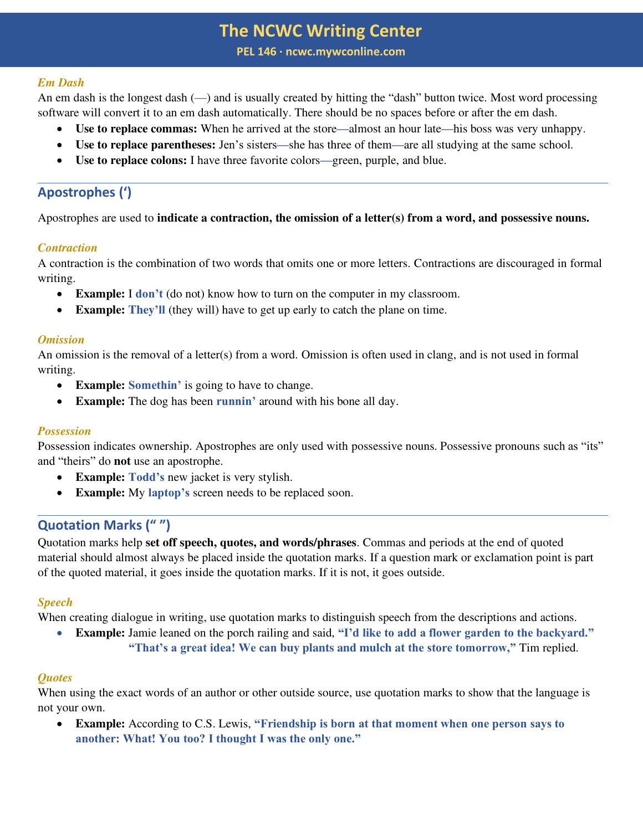**PEL 146 ∙ ncwc.mywconline.com** 

### *Em Dash*

An em dash is the longest dash (—) and is usually created by hitting the "dash" button twice. Most word processing software will convert it to an em dash automatically. There should be no spaces before or after the em dash.

- **Use to replace commas:** When he arrived at the store**—**almost an hour late**—**his boss was very unhappy.
- **Use to replace parentheses:** Jen's sisters**—**she has three of them**—**are all studying at the same school.
- **Use to replace colons:** I have three favorite colors**—**green, purple, and blue.

# **Apostrophes (')**

Apostrophes are used to **indicate a contraction, the omission of a letter(s) from a word, and possessive nouns.**

### *Contraction*

A contraction is the combination of two words that omits one or more letters. Contractions are discouraged in formal writing.

- **Example:** I **don't** (do not) know how to turn on the computer in my classroom.
- **Example: They'll** (they will) have to get up early to catch the plane on time.

#### *Omission*

An omission is the removal of a letter(s) from a word. Omission is often used in clang, and is not used in formal writing.

- **Example: Somethin'** is going to have to change.
- **Example:** The dog has been **runnin**' around with his bone all day.

### *Possession*

Possession indicates ownership. Apostrophes are only used with possessive nouns. Possessive pronouns such as "its" and "theirs" do **not** use an apostrophe.

- **Example: Todd's** new jacket is very stylish.
- **Example:** My **laptop's** screen needs to be replaced soon.

# **Quotation Marks (" ")**

Quotation marks help **set off speech, quotes, and words/phrases**. Commas and periods at the end of quoted material should almost always be placed inside the quotation marks. If a question mark or exclamation point is part of the quoted material, it goes inside the quotation marks. If it is not, it goes outside.

### *Speech*

When creating dialogue in writing, use quotation marks to distinguish speech from the descriptions and actions.

• **Example:** Jamie leaned on the porch railing and said, **"I'd like to add a flower garden to the backyard." "That's a great idea! We can buy plants and mulch at the store tomorrow,"** Tim replied.

### *Quotes*

When using the exact words of an author or other outside source, use quotation marks to show that the language is not your own.

• **Example:** According to C.S. Lewis, **"Friendship is born at that moment when one person says to another: What! You too? I thought I was the only one."**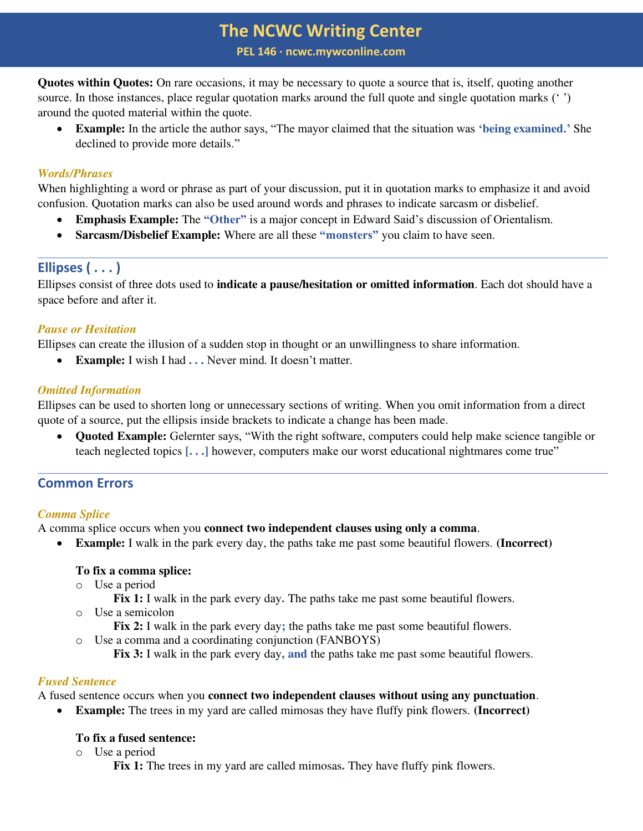**PEL 146 ∙ ncwc.mywconline.com** 

**Quotes within Quotes:** On rare occasions, it may be necessary to quote a source that is, itself, quoting another source. In those instances, place regular quotation marks around the full quote and single quotation marks ('') around the quoted material within the quote.

• **Example:** In the article the author says, "The mayor claimed that the situation was **'being examined.'** She declined to provide more details."

## *Words/Phrases*

When highlighting a word or phrase as part of your discussion, put it in quotation marks to emphasize it and avoid confusion. Quotation marks can also be used around words and phrases to indicate sarcasm or disbelief.

- **Emphasis Example:** The **"Other"** is a major concept in Edward Said's discussion of Orientalism.
- **Sarcasm/Disbelief Example:** Where are all these **"monsters"** you claim to have seen.

# **Ellipses ( . . . )**

Ellipses consist of three dots used to **indicate a pause/hesitation or omitted information**. Each dot should have a space before and after it.

## *Pause or Hesitation*

Ellipses can create the illusion of a sudden stop in thought or an unwillingness to share information.

• **Example:** I wish I had **. . .** Never mind. It doesn't matter.

## *Omitted Information*

Ellipses can be used to shorten long or unnecessary sections of writing. When you omit information from a direct quote of a source, put the ellipsis inside brackets to indicate a change has been made.

• **Quoted Example:** Gelernter says, "With the right software, computers could help make science tangible or teach neglected topics **[. . .]** however, computers make our worst educational nightmares come true"

# **Common Errors**

### *Comma Splice*

A comma splice occurs when you **connect two independent clauses using only a comma**.

• **Example:** I walk in the park every day, the paths take me past some beautiful flowers. **(Incorrect)**

### **To fix a comma splice:**

- o Use a period
	- **Fix 1:** I walk in the park every day**.** The paths take me past some beautiful flowers.
- o Use a semicolon
	- **Fix 2:** I walk in the park every day**;** the paths take me past some beautiful flowers.
- o Use a comma and a coordinating conjunction (FANBOYS)

**Fix 3:** I walk in the park every day**, and** the paths take me past some beautiful flowers.

### *Fused Sentence*

A fused sentence occurs when you **connect two independent clauses without using any punctuation**.

• **Example:** The trees in my yard are called mimosas they have fluffy pink flowers. **(Incorrect)**

# **To fix a fused sentence:**

o Use a period

**Fix 1:** The trees in my yard are called mimosas**.** They have fluffy pink flowers.